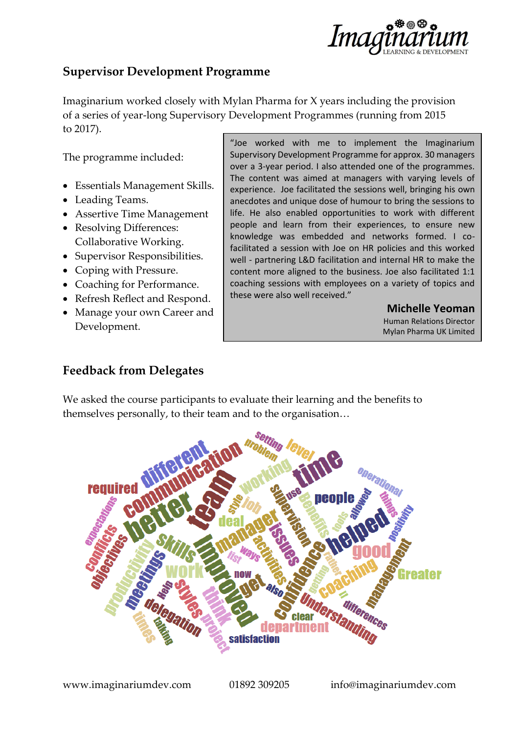

# **Supervisor Development Programme**

Imaginarium worked closely with Mylan Pharma for X years including the provision of a series of year-long Supervisory Development Programmes (running from 2015 to 2017).

The programme included:

- Essentials Management Skills.
- Leading Teams.
- Assertive Time Management
- Resolving Differences: Collaborative Working.
- Supervisor Responsibilities.
- Coping with Pressure.
- Coaching for Performance.
- Refresh Reflect and Respond.
- Manage your own Career and Development.

"Joe worked with me to implement the Imaginarium Supervisory Development Programme for approx. 30 managers over a 3-year period. I also attended one of the programmes. The content was aimed at managers with varying levels of experience. Joe facilitated the sessions well, bringing his own anecdotes and unique dose of humour to bring the sessions to life. He also enabled opportunities to work with different people and learn from their experiences, to ensure new knowledge was embedded and networks formed. I cofacilitated a session with Joe on HR policies and this worked well - partnering L&D facilitation and internal HR to make the content more aligned to the business. Joe also facilitated 1:1 coaching sessions with employees on a variety of topics and these were also well received."

> **Michelle Yeoman** Human Relations Director Mylan Pharma UK Limited

## **Feedback from Delegates**

We asked the course participants to evaluate their learning and the benefits to themselves personally, to their team and to the organisation…

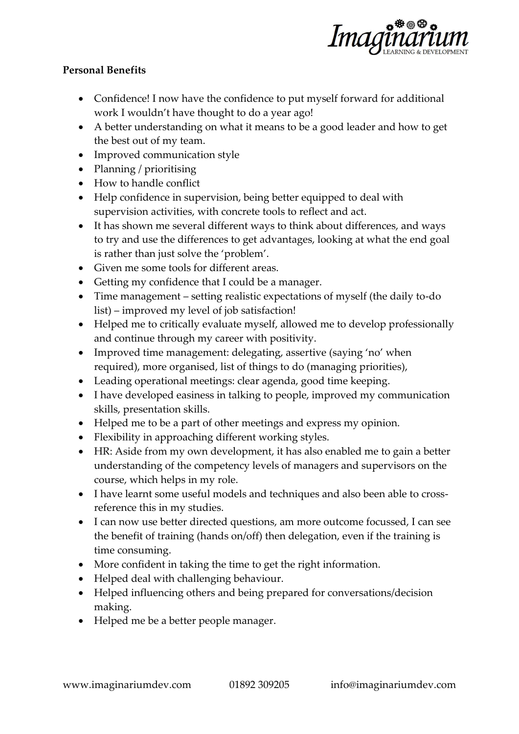

### **Personal Benefits**

- Confidence! I now have the confidence to put myself forward for additional work I wouldn't have thought to do a year ago!
- A better understanding on what it means to be a good leader and how to get the best out of my team.
- Improved communication style
- Planning / prioritising
- How to handle conflict
- Help confidence in supervision, being better equipped to deal with supervision activities, with concrete tools to reflect and act.
- It has shown me several different ways to think about differences, and ways to try and use the differences to get advantages, looking at what the end goal is rather than just solve the 'problem'.
- Given me some tools for different areas.
- Getting my confidence that I could be a manager.
- Time management setting realistic expectations of myself (the daily to-do list) – improved my level of job satisfaction!
- Helped me to critically evaluate myself, allowed me to develop professionally and continue through my career with positivity.
- Improved time management: delegating, assertive (saying 'no' when required), more organised, list of things to do (managing priorities),
- Leading operational meetings: clear agenda, good time keeping.
- I have developed easiness in talking to people, improved my communication skills, presentation skills.
- Helped me to be a part of other meetings and express my opinion.
- Flexibility in approaching different working styles.
- HR: Aside from my own development, it has also enabled me to gain a better understanding of the competency levels of managers and supervisors on the course, which helps in my role.
- I have learnt some useful models and techniques and also been able to crossreference this in my studies.
- I can now use better directed questions, am more outcome focussed, I can see the benefit of training (hands on/off) then delegation, even if the training is time consuming.
- More confident in taking the time to get the right information.
- Helped deal with challenging behaviour.
- Helped influencing others and being prepared for conversations/decision making.
- Helped me be a better people manager.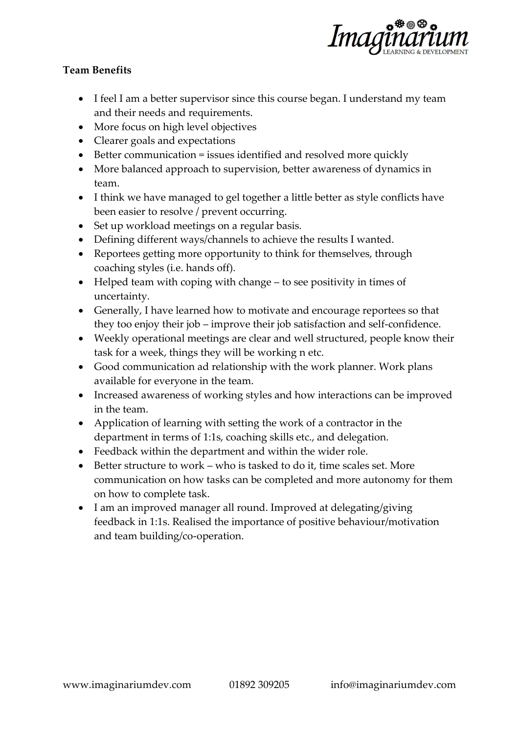

### **Team Benefits**

- I feel I am a better supervisor since this course began. I understand my team and their needs and requirements.
- More focus on high level objectives
- Clearer goals and expectations
- Better communication = issues identified and resolved more quickly
- More balanced approach to supervision, better awareness of dynamics in team.
- I think we have managed to gel together a little better as style conflicts have been easier to resolve / prevent occurring.
- Set up workload meetings on a regular basis.
- Defining different ways/channels to achieve the results I wanted.
- Reportees getting more opportunity to think for themselves, through coaching styles (i.e. hands off).
- Helped team with coping with change to see positivity in times of uncertainty.
- Generally, I have learned how to motivate and encourage reportees so that they too enjoy their job – improve their job satisfaction and self-confidence.
- Weekly operational meetings are clear and well structured, people know their task for a week, things they will be working n etc.
- Good communication ad relationship with the work planner. Work plans available for everyone in the team.
- Increased awareness of working styles and how interactions can be improved in the team.
- Application of learning with setting the work of a contractor in the department in terms of 1:1s, coaching skills etc., and delegation.
- Feedback within the department and within the wider role.
- Better structure to work who is tasked to do it, time scales set. More communication on how tasks can be completed and more autonomy for them on how to complete task.
- I am an improved manager all round. Improved at delegating/giving feedback in 1:1s. Realised the importance of positive behaviour/motivation and team building/co-operation.